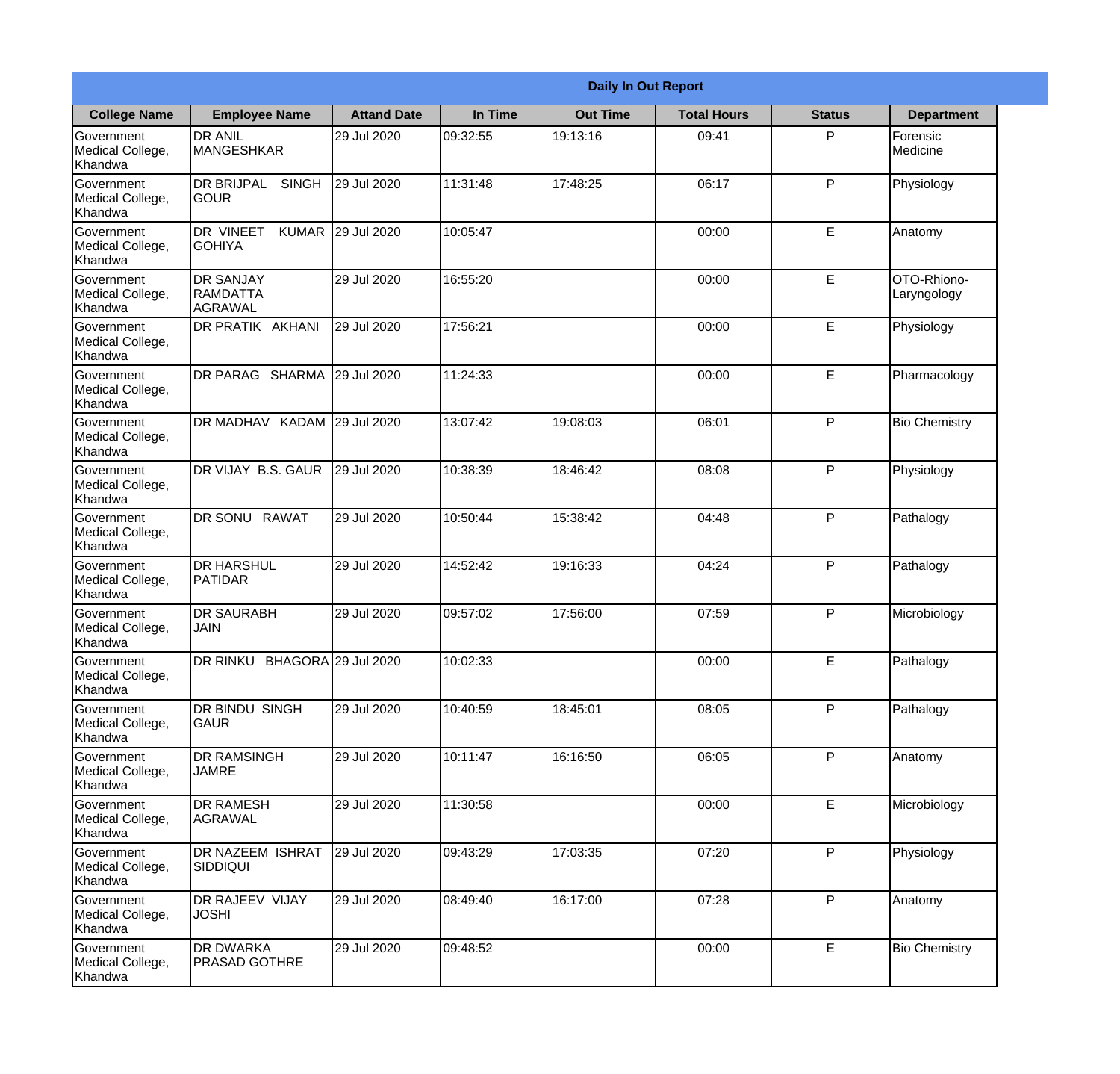|                                                  |                                                       |                    |          | <b>Daily In Out Report</b> |                    |               |                            |
|--------------------------------------------------|-------------------------------------------------------|--------------------|----------|----------------------------|--------------------|---------------|----------------------------|
| <b>College Name</b>                              | <b>Employee Name</b>                                  | <b>Attand Date</b> | In Time  | <b>Out Time</b>            | <b>Total Hours</b> | <b>Status</b> | <b>Department</b>          |
| Government<br>Medical College,<br>Khandwa        | <b>DR ANIL</b><br><b>MANGESHKAR</b>                   | 29 Jul 2020        | 09:32:55 | 19:13:16                   | 09:41              | P             | Forensic<br>Medicine       |
| Government<br>Medical College,<br>Khandwa        | <b>DR BRIJPAL</b><br><b>SINGH</b><br> GOUR            | 29 Jul 2020        | 11:31:48 | 17:48:25                   | 06:17              | P             | Physiology                 |
| <b>Government</b><br>Medical College,<br>Khandwa | <b>DR VINEET</b><br><b>KUMAR</b><br><b>I</b> GOHIYA   | 29 Jul 2020        | 10:05:47 |                            | 00:00              | E             | Anatomy                    |
| Government<br>Medical College,<br>Khandwa        | <b>DR SANJAY</b><br><b>RAMDATTA</b><br><b>AGRAWAL</b> | 29 Jul 2020        | 16:55:20 |                            | 00:00              | E             | OTO-Rhiono-<br>Laryngology |
| Government<br>Medical College,<br>Khandwa        | <b>DR PRATIK AKHANI</b>                               | 29 Jul 2020        | 17:56:21 |                            | 00:00              | E             | Physiology                 |
| Government<br>Medical College,<br>Khandwa        | DR PARAG SHARMA                                       | 29 Jul 2020        | 11:24:33 |                            | 00:00              | E             | Pharmacology               |
| Government<br>Medical College,<br>Khandwa        | DR MADHAV KADAM 29 Jul 2020                           |                    | 13:07:42 | 19:08:03                   | 06:01              | P             | <b>Bio Chemistry</b>       |
| Government<br>Medical College,<br>Khandwa        | DR VIJAY B.S. GAUR                                    | 29 Jul 2020        | 10:38:39 | 18:46:42                   | 08:08              | P             | Physiology                 |
| Government<br>Medical College,<br>Khandwa        | <b>DR SONU RAWAT</b>                                  | 29 Jul 2020        | 10:50:44 | 15:38:42                   | 04:48              | P             | Pathalogy                  |
| Government<br>Medical College,<br>Khandwa        | <b>DR HARSHUL</b><br>PATIDAR                          | 29 Jul 2020        | 14:52:42 | 19:16:33                   | 04:24              | P             | Pathalogy                  |
| Government<br>Medical College,<br>Khandwa        | <b>DR SAURABH</b><br><b>JAIN</b>                      | 29 Jul 2020        | 09:57:02 | 17:56:00                   | 07:59              | $\mathsf{P}$  | Microbiology               |
| Government<br>Medical College,<br>Khandwa        | DR RINKU BHAGORA 29 Jul 2020                          |                    | 10:02:33 |                            | 00:00              | E             | Pathalogy                  |
| Government<br>Medical College,<br>Khandwa        | <b>DR BINDU SINGH</b><br><b>GAUR</b>                  | 29 Jul 2020        | 10:40:59 | 18:45:01                   | 08:05              | P             | Pathalogy                  |
| Government<br>Medical College,<br>Khandwa        | <b>DR RAMSINGH</b><br><b>JAMRE</b>                    | 29 Jul 2020        | 10:11:47 | 16:16:50                   | 06:05              | P             | Anatomy                    |
| Government<br>Medical College,<br>Khandwa        | <b>DR RAMESH</b><br>AGRAWAL                           | 29 Jul 2020        | 11:30:58 |                            | 00:00              | E             | Microbiology               |
| Government<br>Medical College,<br>Khandwa        | <b>DR NAZEEM ISHRAT</b><br><b>SIDDIQUI</b>            | 29 Jul 2020        | 09:43:29 | 17:03:35                   | 07:20              | P             | Physiology                 |
| Government<br>Medical College,<br>Khandwa        | <b>DR RAJEEV VIJAY</b><br><b>JOSHI</b>                | 29 Jul 2020        | 08:49:40 | 16:17:00                   | 07:28              | P             | Anatomy                    |
| Government<br>Medical College,<br>Khandwa        | <b>DR DWARKA</b><br><b>PRASAD GOTHRE</b>              | 29 Jul 2020        | 09:48:52 |                            | 00:00              | E             | <b>Bio Chemistry</b>       |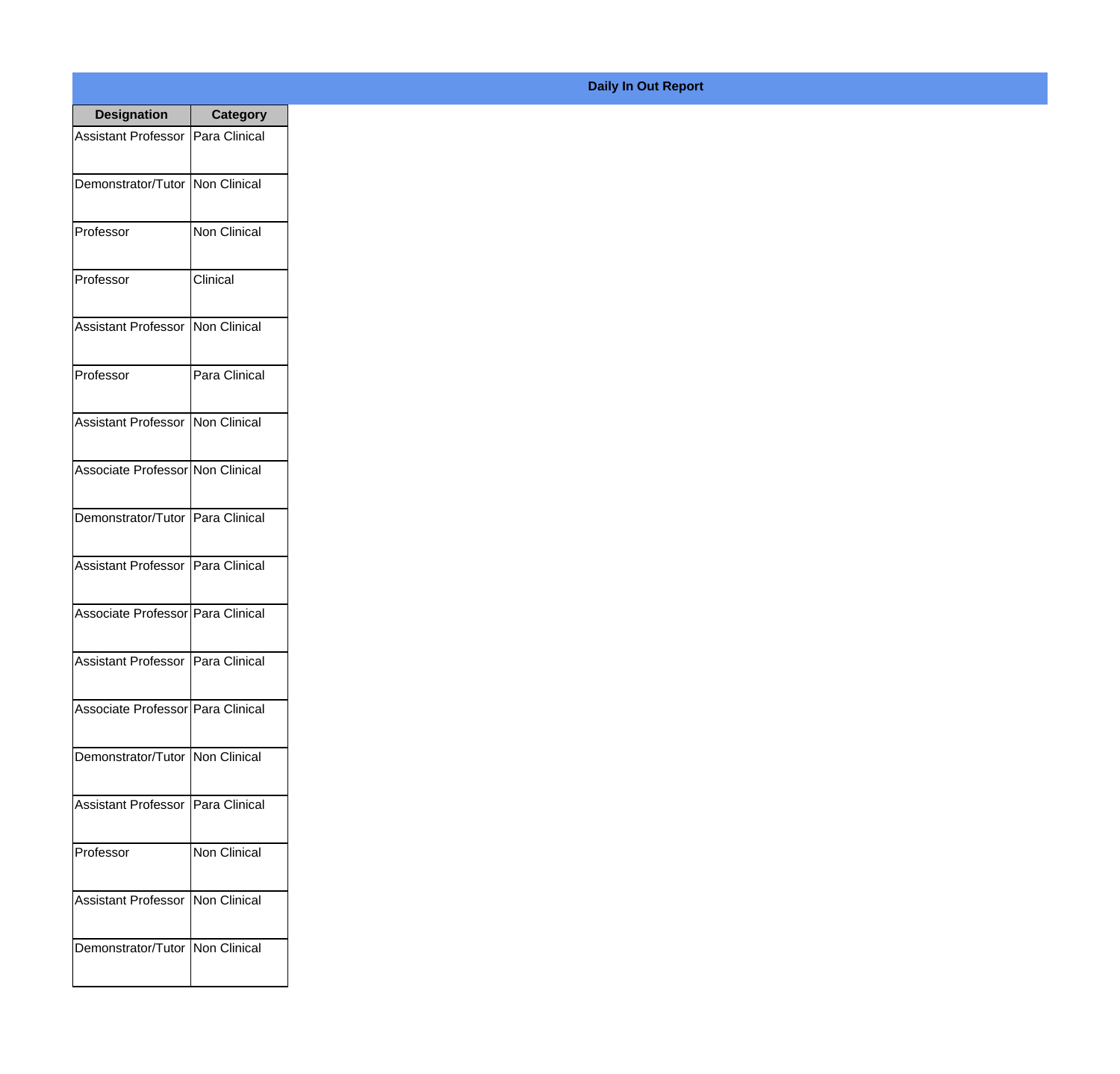| <b>Designation</b>                  | <b>Category</b> |
|-------------------------------------|-----------------|
| Assistant Professor   Para Clinical |                 |
| Demonstrator/Tutor   Non Clinical   |                 |
| Professor                           | Non Clinical    |
| Professor                           | Clinical        |
| <b>Assistant Professor</b>          | Non Clinical    |
| Professor                           | Para Clinical   |
| <b>Assistant Professor</b>          | Non Clinical    |
| Associate Professor Non Clinical    |                 |
| Demonstrator/Tutor   Para Clinical  |                 |
| <b>Assistant Professor</b>          | Para Clinical   |
| Associate Professor   Para Clinical |                 |
| Assistant Professor   Para Clinical |                 |
| Associate Professor Para Clinical   |                 |
| Demonstrator/Tutor   Non Clinical   |                 |
| <b>Assistant Professor</b>          | Para Clinical   |
| Professor                           | Non Clinical    |
| <b>Assistant Professor</b>          | Non Clinical    |
| Demonstrator/Tutor   Non Clinical   |                 |

## **Daily In Out Report**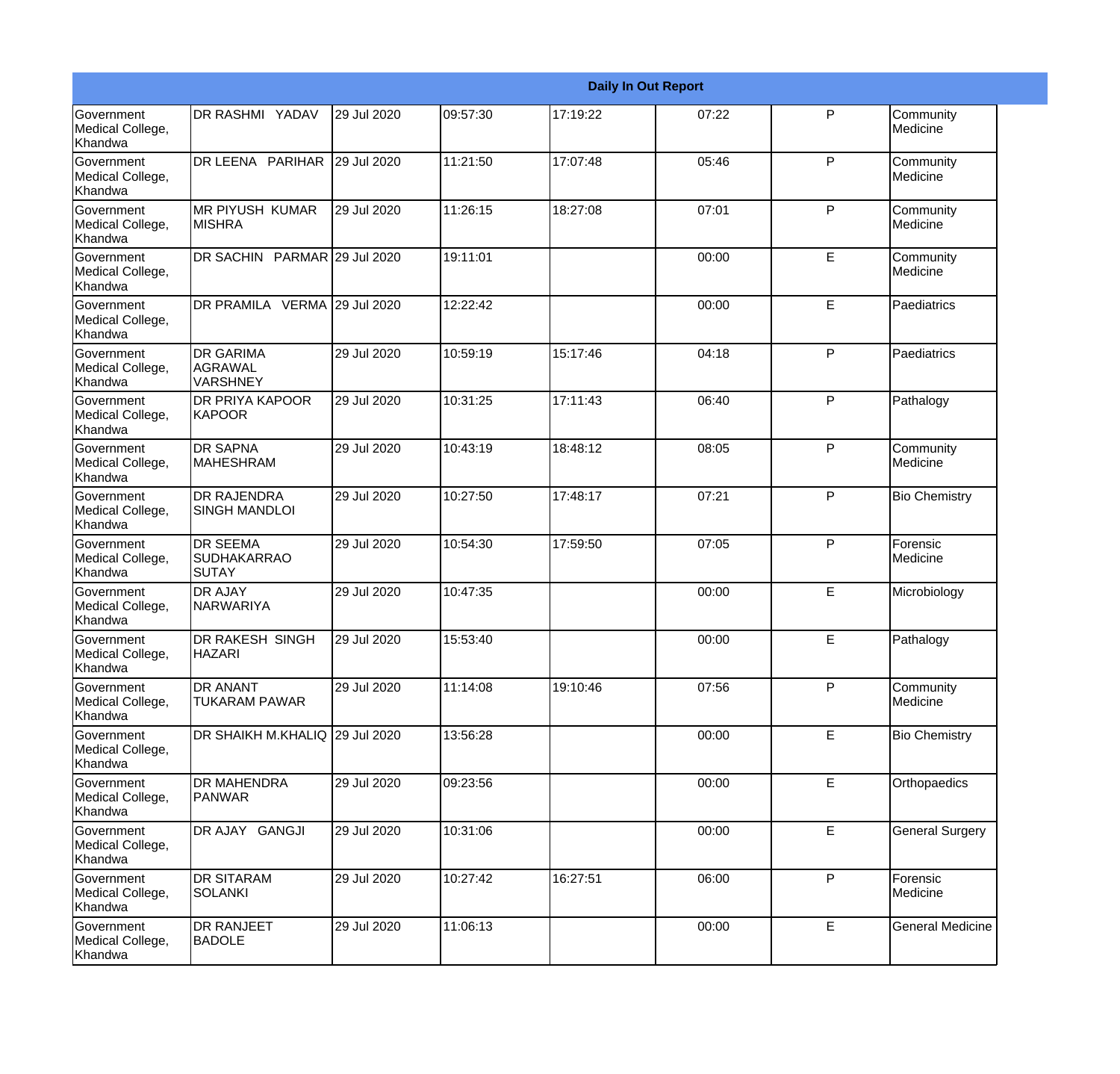|                                                  |                                                       |             |          |          | <b>Daily In Out Report</b> |   |                         |
|--------------------------------------------------|-------------------------------------------------------|-------------|----------|----------|----------------------------|---|-------------------------|
| Government<br>Medical College,<br>Khandwa        | DR RASHMI YADAV                                       | 29 Jul 2020 | 09:57:30 | 17:19:22 | 07:22                      | P | Community<br>Medicine   |
| <b>Government</b><br>Medical College,<br>Khandwa | DR LEENA PARIHAR                                      | 29 Jul 2020 | 11:21:50 | 17:07:48 | 05:46                      | P | Community<br>Medicine   |
| Government<br>Medical College,<br>Khandwa        | IMR PIYUSH KUMAR<br><b>MISHRA</b>                     | 29 Jul 2020 | 11:26:15 | 18:27:08 | 07:01                      | P | Community<br>Medicine   |
| Government<br>Medical College,<br>Khandwa        | DR SACHIN PARMAR 29 Jul 2020                          |             | 19:11:01 |          | 00:00                      | E | Community<br>Medicine   |
| Government<br>Medical College,<br>Khandwa        | DR PRAMILA VERMA 29 Jul 2020                          |             | 12:22:42 |          | 00:00                      | E | Paediatrics             |
| Government<br>Medical College,<br>Khandwa        | <b>DR GARIMA</b><br><b>AGRAWAL</b><br><b>VARSHNEY</b> | 29 Jul 2020 | 10:59:19 | 15:17:46 | 04:18                      | P | Paediatrics             |
| Government<br>Medical College,<br>Khandwa        | <b>DR PRIYA KAPOOR</b><br><b>KAPOOR</b>               | 29 Jul 2020 | 10:31:25 | 17:11:43 | 06:40                      | P | Pathalogy               |
| Government<br>Medical College,<br>Khandwa        | <b>DR SAPNA</b><br><b>MAHESHRAM</b>                   | 29 Jul 2020 | 10:43:19 | 18:48:12 | 08:05                      | P | Community<br>Medicine   |
| Government<br>Medical College,<br>Khandwa        | <b>DR RAJENDRA</b><br><b>SINGH MANDLOI</b>            | 29 Jul 2020 | 10:27:50 | 17:48:17 | 07:21                      | P | <b>Bio Chemistry</b>    |
| <b>Government</b><br>Medical College,<br>Khandwa | <b>IDR SEEMA</b><br><b>SUDHAKARRAO</b><br>SUTAY       | 29 Jul 2020 | 10:54:30 | 17:59:50 | 07:05                      | P | Forensic<br>Medicine    |
| Government<br>Medical College,<br>Khandwa        | <b>DR AJAY</b><br><b>NARWARIYA</b>                    | 29 Jul 2020 | 10:47:35 |          | 00:00                      | E | Microbiology            |
| Government<br>Medical College,<br>Khandwa        | IDR RAKESH SINGH<br><b>HAZARI</b>                     | 29 Jul 2020 | 15:53:40 |          | 00:00                      | E | Pathalogy               |
| Government<br>Medical College,<br>Khandwa        | <b>DR ANANT</b><br><b>TUKARAM PAWAR</b>               | 29 Jul 2020 | 11:14:08 | 19:10:46 | 07:56                      | P | Community<br>Medicine   |
| Government<br>Medical College,<br>Khandwa        | DR SHAIKH M.KHALIQ 29 Jul 2020                        |             | 13:56:28 |          | 00:00                      | E | <b>Bio Chemistry</b>    |
| Government<br>Medical College,<br>Khandwa        | <b>DR MAHENDRA</b><br><b>PANWAR</b>                   | 29 Jul 2020 | 09:23:56 |          | 00:00                      | E | Orthopaedics            |
| Government<br>Medical College,<br>Khandwa        | DR AJAY GANGJI                                        | 29 Jul 2020 | 10:31:06 |          | 00:00                      | E | <b>General Surgery</b>  |
| Government<br>Medical College,<br>Khandwa        | <b>DR SITARAM</b><br><b>SOLANKI</b>                   | 29 Jul 2020 | 10:27:42 | 16:27:51 | 06:00                      | P | Forensic<br>Medicine    |
| Government<br>Medical College,<br>Khandwa        | <b>DR RANJEET</b><br><b>BADOLE</b>                    | 29 Jul 2020 | 11:06:13 |          | 00:00                      | E | <b>General Medicine</b> |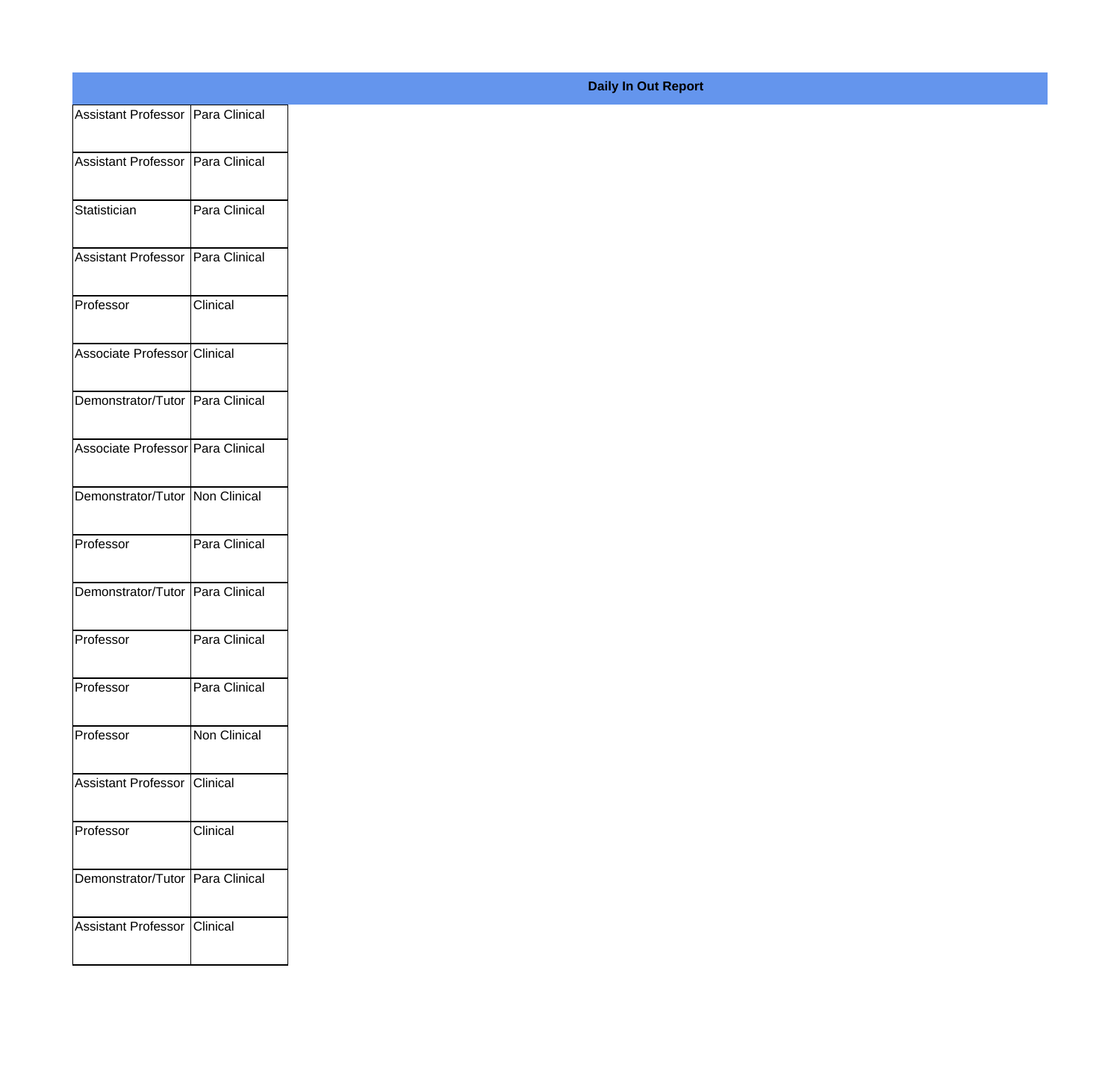| Assistant Professor   Para Clinical |                 |
|-------------------------------------|-----------------|
| Assistant Professor Para Clinical   |                 |
|                                     |                 |
| Statistician                        | Para Clinical   |
| Assistant Professor Para Clinical   |                 |
| Professor                           | <b>Clinical</b> |
| Associate Professor Clinical        |                 |
| Demonstrator/Tutor Para Clinical    |                 |
| Associate Professor Para Clinical   |                 |
| Demonstrator/Tutor Non Clinical     |                 |
|                                     |                 |
| Professor                           | Para Clinical   |
| Demonstrator/Tutor Para Clinical    |                 |
| Professor                           | Para Clinical   |
| Professor                           | Para Clinical   |
| Professor                           | Non Clinical    |
| Assistant Professor Clinical        |                 |
| Professor                           | Clinical        |
|                                     |                 |
| Demonstrator/Tutor Para Clinical    |                 |
| Assistant Professor Clinical        |                 |
|                                     |                 |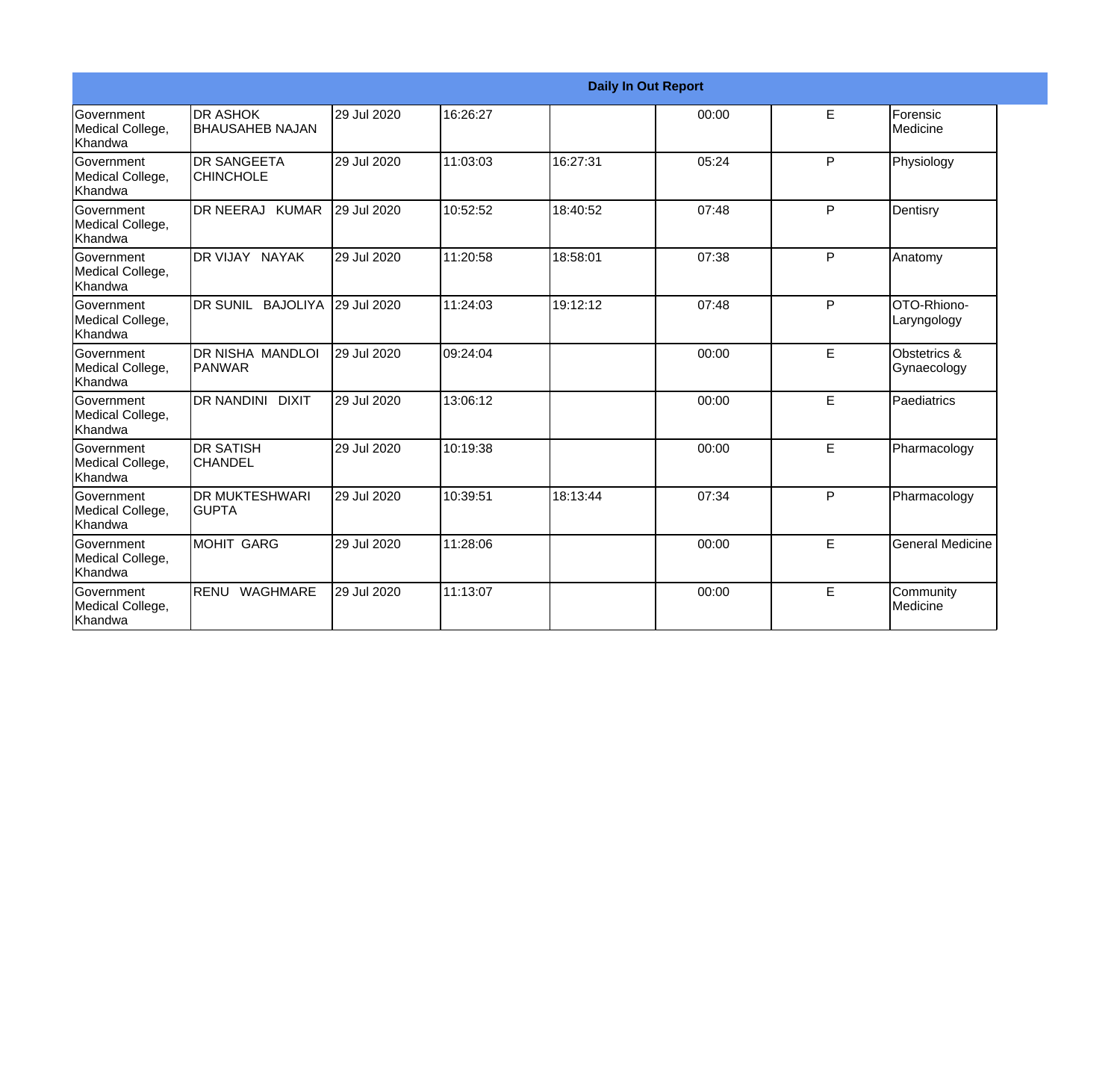|                                                         |                                            |             |           |          | <b>Daily In Out Report</b> |   |                             |
|---------------------------------------------------------|--------------------------------------------|-------------|-----------|----------|----------------------------|---|-----------------------------|
| Government<br>Medical College,<br>Khandwa               | <b>IDR ASHOK</b><br><b>BHAUSAHEB NAJAN</b> | 29 Jul 2020 | 16:26:27  |          | 00:00                      | E | Forensic<br><b>Medicine</b> |
| <b>Government</b><br>Medical College,<br><b>Khandwa</b> | <b>DR SANGEETA</b><br><b>CHINCHOLE</b>     | 29 Jul 2020 | 11:03:03  | 16:27:31 | 05:24                      | P | Physiology                  |
| <b>Government</b><br>Medical College,<br>Khandwa        | DR NEERAJ KUMAR                            | 29 Jul 2020 | 10:52:52  | 18:40:52 | 07:48                      | P | Dentisry                    |
| <b>Government</b><br>Medical College,<br>Khandwa        | DR VIJAY NAYAK                             | 29 Jul 2020 | 11:20:58  | 18:58:01 | 07:38                      | P | Anatomy                     |
| <b>Government</b><br>Medical College,<br>Khandwa        | DR SUNIL BAJOLIYA                          | 29 Jul 2020 | 11:24:03  | 19:12:12 | 07:48                      | P | OTO-Rhiono-<br>Laryngology  |
| Government<br>Medical College,<br>Khandwa               | DR NISHA MANDLOI<br>IPANWAR                | 29 Jul 2020 | 109:24:04 |          | 00:00                      | E | Obstetrics &<br>Gynaecology |
| <b>Government</b><br>Medical College,<br>Khandwa        | DR NANDINI DIXIT                           | 29 Jul 2020 | 13:06:12  |          | 00:00                      | E | Paediatrics                 |
| <b>Government</b><br>Medical College,<br><b>Khandwa</b> | <b>DR SATISH</b><br><b>CHANDEL</b>         | 29 Jul 2020 | 10:19:38  |          | 00:00                      | E | Pharmacology                |
| Government<br>Medical College,<br><b>Khandwa</b>        | <b>DR MUKTESHWARI</b><br><b>GUPTA</b>      | 29 Jul 2020 | 10:39:51  | 18:13:44 | 07:34                      | P | Pharmacology                |
| <b>Government</b><br>Medical College,<br>Khandwa        | <b>MOHIT GARG</b>                          | 29 Jul 2020 | 11:28:06  |          | 00:00                      | E | <b>General Medicine</b>     |
| Government<br>Medical College,<br>Khandwa               | RENU WAGHMARE                              | 29 Jul 2020 | 11:13:07  |          | 00:00                      | E | Community<br>Medicine       |